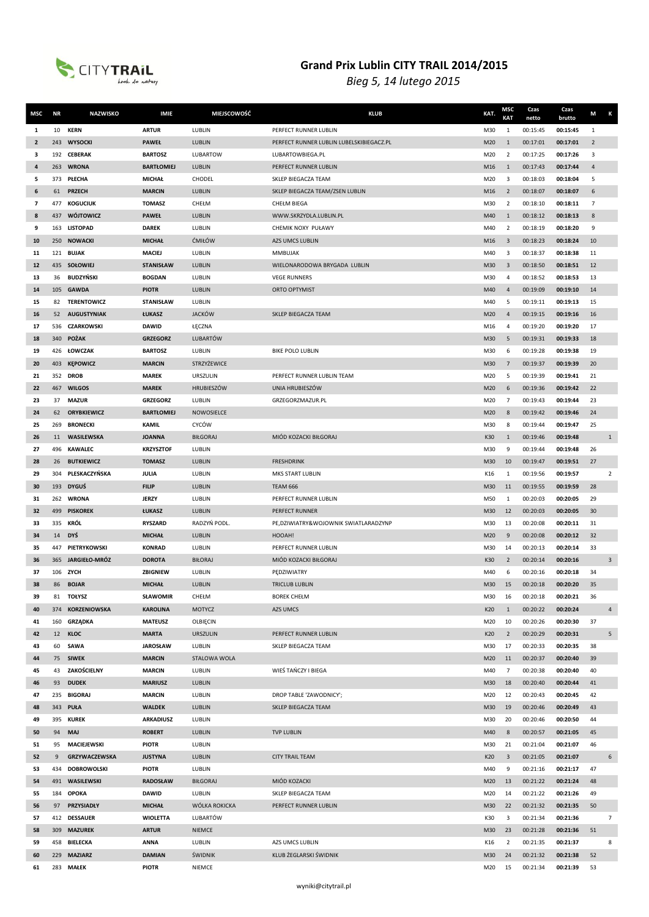

| MSC            | <b>NR</b> | <b>NAZWISKO</b>            | <b>IMIE</b>                    | <b>MIEJSCOWOŚĆ</b>     | <b>KLUB</b>                              | KAT.       | MSC<br>KAT           | Czas<br>netto        | Czas<br>brutto       | M<br>К         |
|----------------|-----------|----------------------------|--------------------------------|------------------------|------------------------------------------|------------|----------------------|----------------------|----------------------|----------------|
| 1              | 10        | <b>KERN</b>                | <b>ARTUR</b>                   | LUBLIN                 | PERFECT RUNNER LUBLIN                    | M30        | 1                    | 00:15:45             | 00:15:45             | $\mathbf{1}$   |
| $\overline{2}$ | 243       | <b>WYSOCKI</b>             | <b>PAWEŁ</b>                   | LUBLIN                 | PERFECT RUNNER LUBLIN LUBELSKIBIEGACZ.PL | M20        | $\mathbf{1}$         | 00:17:01             | 00:17:01             | $\overline{2}$ |
| 3              |           | 192 CEBERAK                | <b>BARTOSZ</b>                 | LUBARTOW               | LUBARTOWBIEGA.PL                         | M20        | $\overline{2}$       | 00:17:25             | 00:17:26             | 3              |
| 4              | 263       | <b>WRONA</b>               | <b>BARTŁOMIEJ</b>              | LUBLIN                 | PERFECT RUNNER LUBLIN                    | M16        | $\mathbf{1}$         | 00:17:43             | 00:17:44             | $\overline{4}$ |
| 5              | 373       | PŁECHA                     | <b>MICHAŁ</b>                  | CHODEL                 | SKLEP BIEGACZA TEAM                      | M20        | 3                    | 00:18:03             | 00:18:04             | 5              |
| 6              | 61        | <b>PRZECH</b>              | <b>MARCIN</b>                  | LUBLIN                 | SKLEP BIEGACZA TEAM/ZSEN LUBLIN          | M16        | $\overline{2}$       | 00:18:07             | 00:18:07             | 6              |
| 7              |           | 477 KOGUCIUK               | <b>TOMASZ</b>                  | CHEŁM                  | CHEŁM BIEGA                              | M30        | $\overline{2}$       | 00:18:10             | 00:18:11             | $\overline{7}$ |
| 8              | 437       | <b>WÓJTOWICZ</b>           | <b>PAWEŁ</b>                   | LUBLIN                 | WWW.SKRZYDLA.LUBLIN.PL                   | M40        | $\mathbf{1}$         | 00:18:12             | 00:18:13             | 8              |
| 9              | 163       | <b>LISTOPAD</b>            | <b>DAREK</b>                   | LUBLIN                 | CHEMIK NOXY PUŁAWY                       | M40        | $\overline{2}$       | 00:18:19             | 00:18:20             | 9              |
| 10             | 250       | <b>NOWACKI</b>             | <b>MICHAŁ</b>                  | ĆMIŁÓW                 | <b>AZS UMCS LUBLIN</b>                   | M16        | $\overline{3}$       | 00:18:23             | 00:18:24             | 10             |
| 11             |           | 121 BUJAK                  | <b>MACIEJ</b>                  | LUBLIN                 | MMBUJAK                                  | M40        | 3                    | 00:18:37             | 00:18:38             | 11             |
| 12             |           | 435 SOŁOWIEJ               | <b>STANISŁAW</b>               | LUBLIN                 | WIELONARODOWA BRYGADA LUBLIN             | M30        | $\overline{3}$       | 00:18:50             | 00:18:51             | 12             |
| 13             | 36        | <b>BUDZYŃSKI</b>           | <b>BOGDAN</b>                  | LUBLIN                 | <b>VEGE RUNNERS</b>                      | M30        | 4                    | 00:18:52             | 00:18:53             | 13             |
| 14             |           | 105 GAWDA                  | <b>PIOTR</b>                   | LUBLIN                 | <b>ORTO OPTYMIST</b>                     | M40        | $\overline{4}$       | 00:19:09             | 00:19:10             | 14             |
| 15             | 82        | <b>TERENTOWICZ</b>         | <b>STANISŁAW</b>               | LUBLIN                 |                                          | M40        | 5                    | 00:19:11             | 00:19:13             | 15             |
| 16             | 52        | <b>AUGUSTYNIAK</b>         | ŁUKASZ                         | <b>JACKÓW</b>          | SKLEP BIEGACZA TEAM                      | M20        | $\overline{4}$       | 00:19:15             | 00:19:16             | 16             |
| 17             | 536       | <b>CZARKOWSKI</b>          | <b>DAWID</b>                   | ŁĘCZNA                 |                                          | M16        | 4                    | 00:19:20             | 00:19:20             | 17             |
| 18             | 340       | <b>POŻAK</b>               | <b>GRZEGORZ</b>                | LUBARTÓW               |                                          | M30        | 5                    | 00:19:31             | 00:19:33             | 18             |
| 19             |           | 426 ŁOWCZAK                | <b>BARTOSZ</b>                 | LUBLIN                 | <b>BIKE POLO LUBLIN</b>                  | M30        | 6                    | 00:19:28             | 00:19:38             | 19             |
| 20             | 403       | <b>KEPOWICZ</b>            | <b>MARCIN</b>                  | STRZYŻEWICE            |                                          | M30        | $\overline{7}$       | 00:19:37             | 00:19:39             | 20             |
| 21             |           | 352 DROB                   | <b>MAREK</b>                   | URSZULIN               | PERFECT RUNNER LUBLIN TEAM               | M20        | 5                    | 00:19:39             | 00:19:41             | 21             |
| 22             | 467       | <b>WILGOS</b>              | <b>MAREK</b>                   | <b>HRUBIESZÓW</b>      | UNIA HRUBIESZÓW                          | M20        | 6                    | 00:19:36             | 00:19:42             | 22             |
| 23             | 37        | <b>MAZUR</b>               | <b>GRZEGORZ</b>                | LUBLIN                 | GRZEGORZMAZUR.PL                         | M20        | $\overline{7}$       | 00:19:43             | 00:19:44             | 23             |
| 24             | 62        | <b>ORYBKIEWICZ</b>         | <b>BARTŁOMIEJ</b>              | NOWOSIELCE             |                                          | M20        | 8                    | 00:19:42             | 00:19:46             | 24             |
| 25             | 269       | <b>BRONECKI</b>            | <b>KAMIL</b>                   | CYCÓW                  |                                          | M30        | 8                    | 00:19:44             | 00:19:47             | 25             |
| 26             | 11        | WASILEWSKA                 | <b>JOANNA</b>                  | <b>BIŁGORAJ</b>        | MIÓD KOZACKI BIŁGORAJ                    | K30        | 1                    | 00:19:46             | 00:19:48             | $\mathbf{1}$   |
| 27             | 496       | <b>KAWALEC</b>             | <b>KRZYSZTOF</b>               | LUBLIN                 |                                          | M30        | 9                    | 00:19:44             | 00:19:48             | 26             |
| 28             | 26        | <b>BUTKIEWICZ</b>          | <b>TOMASZ</b>                  | LUBLIN                 | <b>FRESHDRINK</b>                        | M30        | 10                   | 00:19:47             | 00:19:51             | 27             |
| 29             | 304       | PLESKACZYŃSKA              | JULIA                          | LUBLIN                 | MKS START LUBLIN                         | K16        | 1                    | 00:19:56             | 00:19:57             | $\overline{2}$ |
| 30             |           | 193 DYGUŚ                  | <b>FILIP</b>                   | LUBLIN                 | <b>TEAM 666</b>                          | M30        | 11                   | 00:19:55             | 00:19:59             | 28             |
| 31             |           | 262 WRONA                  | <b>JERZY</b>                   | LUBLIN                 | PERFECT RUNNER LUBLIN                    | M50        | $\mathbf{1}$         | 00:20:03             | 00:20:05             | 29             |
| 32             | 499       | <b>PISKOREK</b>            | ŁUKASZ                         | LUBLIN                 | PERFECT RUNNER                           | M30        | 12                   | 00:20:03             | 00:20:05             | 30             |
| 33             | 335       | KRÓL                       | <b>RYSZARD</b>                 | RADZYŃ PODL.           | PE, DZIWIATRY&WOJOWNIK SWIATLARADZYNP    | M30        | 13                   | 00:20:08             | 00:20:11             | 31             |
| 34             | 14        | <b>DYŚ</b>                 | <b>MICHAŁ</b>                  | LUBLIN                 | HOOAH!                                   | M20        | 9                    | 00:20:08             | 00:20:12             | 32             |
| 35             | 447       | PIETRYKOWSKI               | <b>KONRAD</b>                  | LUBLIN                 | PERFECT RUNNER LUBLIN                    | M30        | 14                   | 00:20:13             | 00:20:14             | 33             |
| 36             |           | 365 JARGIEŁO-MRÓZ          | <b>DOROTA</b>                  | <b>BIŁORAJ</b>         | MIÓD KOZACKI BIŁGORAJ                    | K30        | $\overline{2}$       | 00:20:14             | 00:20:16             | $\overline{3}$ |
| 37             |           | 106 ZYCH                   | ZBIGNIEW                       | LUBLIN                 | PEDZIWIATRY                              | M40        | 6                    | 00:20:16             | 00:20:18             | 34             |
| 38             | 86        | <b>BOJAR</b>               | <b>MICHAŁ</b>                  | LUBLIN                 | <b>TRICLUB LUBLIN</b>                    | M30        | 15                   | 00:20:18             | 00:20:20             | 35             |
| 39             | 81        | <b>TOŁYSZ</b>              | SŁAWOMIR                       | CHEŁM                  | <b>BOREK CHEŁM</b>                       | M30        | 16                   | 00:20:18             | 00:20:21             | 36             |
| 40             |           | 374 KORZENIOWSKA           | <b>KAROLINA</b>                | <b>MOTYCZ</b>          | AZS UMCS                                 | K20        | 1                    | 00:20:22             | 00:20:24             | $\overline{4}$ |
| 41             |           | 160 GRZĄDKA                | <b>MATEUSZ</b>                 | OLBIECIN               |                                          | M20        | 10                   | 00:20:26             | 00:20:30             | 37             |
| 42             | 12        | <b>KLOC</b>                | <b>MARTA</b>                   | <b>URSZULIN</b>        | PERFECT RUNNER LUBLIN                    | K20        | $\overline{2}$       | 00:20:29             | 00:20:31             | 5              |
| 43             | 60        | <b>SAWA</b>                | <b>JAROSŁAW</b>                | LUBLIN                 | SKLEP BIEGACZA TEAM                      | M30        | 17                   | 00:20:33             | 00:20:35             | 38             |
| 44<br>45       |           | 75 SIWEK<br>43 ZAKOŚCIELNY | <b>MARCIN</b><br><b>MARCIN</b> | STALOWA WOLA<br>LUBLIN | WIEŚ TAŃCZY I BIEGA                      | M20<br>M40 | 11<br>$\overline{7}$ | 00:20:37<br>00:20:38 | 00:20:40<br>00:20:40 | 39<br>40       |
| 46             | 93        | <b>DUDEK</b>               | <b>MARIUSZ</b>                 | LUBLIN                 |                                          | M30        | 18                   | 00:20:40             | 00:20:44             | 41             |
| 47             |           | 235 BIGORAJ                | <b>MARCIN</b>                  | LUBLIN                 | DROP TABLE 'ZAWODNICY';                  | M20        | 12                   | 00:20:43             | 00:20:45             | 42             |
| 48             |           | 343 PUŁA                   | <b>WALDEK</b>                  | LUBLIN                 | SKLEP BIEGACZA TEAM                      | M30        | 19                   | 00:20:46             | 00:20:49             | 43             |
| 49             |           | 395 KUREK                  | ARKADIUSZ                      | LUBLIN                 |                                          | M30        | 20                   | 00:20:46             | 00:20:50             | 44             |
| 50             | 94        | <b>MAJ</b>                 | <b>ROBERT</b>                  | LUBLIN                 | <b>TVP LUBLIN</b>                        | M40        | 8                    | 00:20:57             | 00:21:05             | 45             |
| 51             | 95        | MACIEJEWSKI                | <b>PIOTR</b>                   | LUBLIN                 |                                          | M30        | 21                   | 00:21:04             | 00:21:07             | 46             |
| 52             | 9         | <b>GRZYWACZEWSKA</b>       | <b>JUSTYNA</b>                 | LUBLIN                 | <b>CITY TRAIL TEAM</b>                   | K20        | $\overline{3}$       | 00:21:05             | 00:21:07             | 6              |
| 53             |           | 434 DOBROWOLSKI            | <b>PIOTR</b>                   | LUBLIN                 |                                          | M40        | 9                    | 00:21:16             | 00:21:17             | 47             |
| 54             |           | 491 WASILEWSKI             | <b>RADOSŁAW</b>                | <b>BIŁGORAJ</b>        | MIÓD KOZACKI                             | M20        | 13                   | 00:21:22             | 00:21:24             | 48             |
| 55             |           | 184 OPOKA                  | <b>DAWID</b>                   | LUBLIN                 | SKLEP BIEGACZA TEAM                      | M20        | 14                   | 00:21:22             | 00:21:26             | 49             |
| 56             | 97        | PRZYSIADŁY                 | <b>MICHAŁ</b>                  | WÓLKA ROKICKA          | PERFECT RUNNER LUBLIN                    | M30        | 22                   | 00:21:32             | 00:21:35             | 50             |
| 57             |           | 412 DESSAUER               | <b>WIOLETTA</b>                | LUBARTÓW               |                                          | K30        | 3                    | 00:21:34             | 00:21:36             | $\overline{7}$ |
| 58             |           | 309 MAZUREK                | <b>ARTUR</b>                   | <b>NIEMCE</b>          |                                          | M30        | 23                   | 00:21:28             | 00:21:36             | 51             |
| 59             | 458       | <b>BIELECKA</b>            | <b>ANNA</b>                    | LUBLIN                 | AZS UMCS LUBLIN                          | K16        | 2                    | 00:21:35             | 00:21:37             | 8              |
| 60             |           | 229 MAZIARZ                | <b>DAMIAN</b>                  | ŚWIDNIK                | KLUB ŻEGLARSKI ŚWIDNIK                   | M30        | 24                   | 00:21:32             | 00:21:38             | 52             |
| 61             |           | 283 MAŁEK                  | <b>PIOTR</b>                   | NIEMCE                 |                                          | M20        | 15                   | 00:21:34             | 00:21:39             | 53             |
|                |           |                            |                                |                        |                                          |            |                      |                      |                      |                |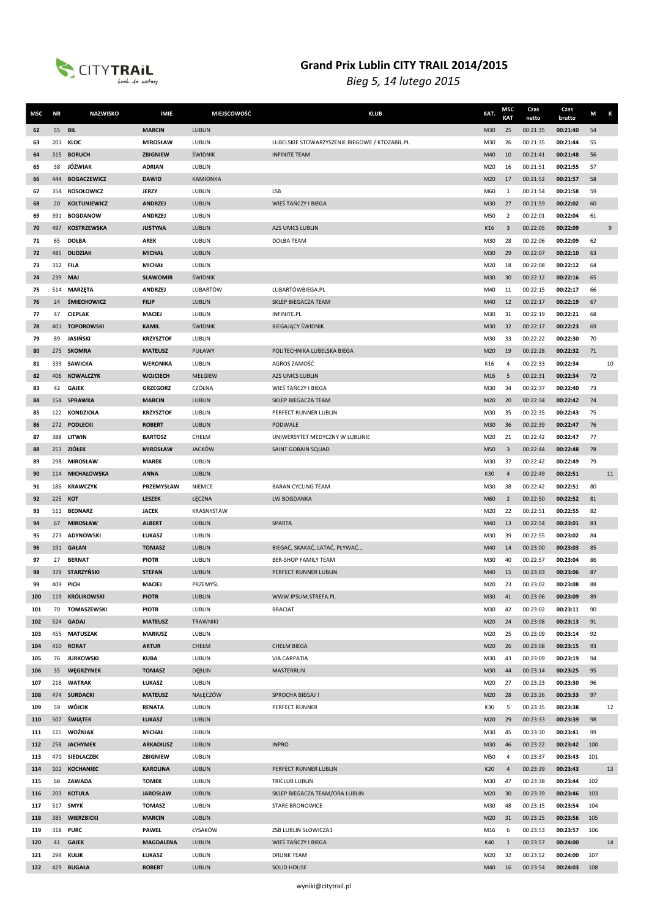

| MSC        | ΝR              | <b>NAZWISKO</b>            | <b>IMIE</b>                      | MIEJSCOWOŚĆ        | <b>KLUB</b>                                    | KAT.       | MSC<br><b>KAT</b> | Czas<br>netto        | Czas<br>brutto       | M        | Κ  |
|------------|-----------------|----------------------------|----------------------------------|--------------------|------------------------------------------------|------------|-------------------|----------------------|----------------------|----------|----|
| 62         | 55              | <b>BIL</b>                 | <b>MARCIN</b>                    | LUBLIN             |                                                | M30        | 25                | 00:21:35             | 00:21:40             | 54       |    |
| 63         | 201             | <b>KLOC</b>                | <b>MIROSŁAW</b>                  | LUBLIN             | LUBELSKIE STOWARZYSZENIE BIEGOWE / KTOZABIL.PL | M30        | 26                | 00:21:35             | 00:21:44             | 55       |    |
| 64         | 315             | <b>BORUCH</b>              | <b>ZBIGNIEW</b>                  | ŚWIDNIK            | <b>INFINITE TEAM</b>                           | M40        | 10                | 00:21:41             | 00:21:48             | 56       |    |
| 65         | 38              | JÓŹWIAK                    | <b>ADRIAN</b>                    | LUBLIN             |                                                | M20        | 16                | 00:21:51             | 00:21:55             | 57       |    |
| 66         | 444             | <b>BOGACZEWICZ</b>         | <b>DAWID</b>                     | <b>KAMIONKA</b>    |                                                | M20        | 17                | 00:21:52             | 00:21:57             | 58       |    |
| 67         | 354             | <b>ROSOŁOWICZ</b>          | <b>JERZY</b>                     | LUBLIN             | <b>LSB</b>                                     | M60        | 1                 | 00:21:54             | 00:21:58             | 59       |    |
| 68         | 20              | <b>KOŁTUNIEWICZ</b>        | <b>ANDRZEJ</b>                   | LUBLIN             | WIEŚ TAŃCZY I BIEGA                            | M30        | 27                | 00:21:59             | 00:22:02             | 60       |    |
| 69         | 391             | <b>BOGDANOW</b>            | <b>ANDRZEJ</b>                   | LUBLIN             |                                                | M50        | $\overline{2}$    | 00:22:01             | 00:22:04             | 61       |    |
| 70         | 497             | <b>KOSTRZEWSKA</b>         | <b>JUSTYNA</b>                   | LUBLIN             | <b>AZS UMCS LUBLIN</b>                         | K16        | $\overline{3}$    | 00:22:05             | 00:22:09             |          | 9  |
| 71         | 65              | <b>DOŁBA</b>               | <b>AREK</b>                      | LUBLIN             | <b>DOŁBA TEAM</b>                              | M30        | 28                | 00:22:06             | 00:22:09             | 62       |    |
| 72         | 485             | <b>DUDZIAK</b>             | <b>MICHAŁ</b>                    | LUBLIN             |                                                | M30        | 29                | 00:22:07             | 00:22:10             | 63       |    |
| 73         | 312 FILA        |                            | <b>MICHAŁ</b>                    | LUBLIN             |                                                | M20        | 18                | 00:22:08             | 00:22:12             | 64       |    |
| 74         | 239             | <b>MAJ</b>                 | <b>SŁAWOMIR</b>                  | ŚWIDNIK            |                                                | M30        | 30                | 00:22:12             | 00:22:16             | 65       |    |
| 75         |                 | 514 MARZĘTA                | <b>ANDRZEJ</b>                   | LUBARTÓW           | LUBARTÓWBIEGA.PL                               | M40        | 11                | 00:22:15             | 00:22:17             | 66       |    |
| 76         | 24              | <b>ŚMIECHOWICZ</b>         | <b>FILIP</b>                     | LUBLIN             | SKLEP BIEGACZA TEAM                            | M40        | 12                | 00:22:17             | 00:22:19             | 67       |    |
| 77         | 47              | <b>CIEPLAK</b>             | MACIEJ                           | LUBLIN             | INFINITE.PL                                    | M30        | 31                | 00:22:19             | 00:22:21             | 68       |    |
| 78         |                 | 401 TOPOROWSKI<br>JASIŃSKI | <b>KAMIL</b><br><b>KRZYSZTOF</b> | ŚWIDNIK            | <b>BIEGAJĄCY ŚWIDNIK</b>                       | M30        | 32                | 00:22:17             | 00:22:23             | 69       |    |
| 79         | 89              | 275 SKOMRA                 | <b>MATEUSZ</b>                   | LUBLIN<br>PUŁAWY   | POLITECHNIKA LUBELSKA BIEGA                    | M30<br>M20 | 33<br>19          | 00:22:22<br>00:22:28 | 00:22:30<br>00:22:32 | 70<br>71 |    |
| 80<br>81   | 339             | <b>SAWICKA</b>             | <b>WERONIKA</b>                  | LUBLIN             | AGROS ZAMOŚĆ                                   | K16        | 4                 | 00:22:33             | 00:22:34             |          | 10 |
| 82         | 406             | <b>KOWALCZYK</b>           | <b>WOJCIECH</b>                  | <b>MEŁGIEW</b>     | <b>AZS UMCS LUBLIN</b>                         | M16        | 5                 | 00:22:31             | 00:22:34             | 72       |    |
| 83         | 42              | <b>GAJEK</b>               | <b>GRZEGORZ</b>                  | CZÓŁNA             | WIEŚ TAŃCZY I BIEGA                            | M30        | 34                | 00:22:37             | 00:22:40             | 73       |    |
| 84         |                 | 154 SPRAWKA                | <b>MARCIN</b>                    | LUBLIN             | SKLEP BIEGACZA TEAM                            | M20        | 20                | 00:22:34             | 00:22:42             | 74       |    |
| 85         |                 | 122 KONDZIOŁA              | <b>KRZYSZTOF</b>                 | LUBLIN             | PERFECT RUNNER LUBLIN                          | M30        | 35                | 00:22:35             | 00:22:43             | 75       |    |
| 86         |                 | 272 PODLECKI               | <b>ROBERT</b>                    | LUBLIN             | PODWALE                                        | M30        | 36                | 00:22:39             | 00:22:47             | 76       |    |
| 87         | 388             | LITWIN                     | <b>BARTOSZ</b>                   | CHEŁM              | UNIWERSYTET MEDYCZNY W LUBLINIE                | M20        | 21                | 00:22:42             | 00:22:47             | 77       |    |
| 88         |                 | 251 ZIÓŁEK                 | <b>MIROSŁAW</b>                  | <b>JACKÓW</b>      | SAINT GOBAIN SQUAD                             | M50        | 3                 | 00:22:44             | 00:22:48             | 78       |    |
| 89         | 298             | <b>MIROSŁAW</b>            | <b>MAREK</b>                     | LUBLIN             |                                                | M30        | 37                | 00:22:42             | 00:22:49             | 79       |    |
| 90         | 114             | <b>MICHAŁOWSKA</b>         | <b>ANNA</b>                      | LUBLIN             |                                                | K30        | 4                 | 00:22:49             | 00:22:51             |          | 11 |
| 91         | 186             | <b>KRAWCZYK</b>            | PRZEMYSŁAW                       | <b>NIEMCE</b>      | <b>BARAN CYCLING TEAM</b>                      | M30        | 38                | 00:22:42             | 00:22:51             | 80       |    |
| 92         | 225 KOT         |                            | <b>LESZEK</b>                    | ŁĘCZNA             | LW BOGDANKA                                    | M60        | $\overline{2}$    | 00:22:50             | 00:22:52             | 81       |    |
| 93         |                 | 511 BEDNARZ                | <b>JACEK</b>                     | KRASNYSTAW         |                                                | M20        | 22                | 00:22:51             | 00:22:55             | 82       |    |
| 94         | 67              | <b>MIROSŁAW</b>            | <b>ALBERT</b>                    | LUBLIN             | <b>SPARTA</b>                                  | M40        | 13                | 00:22:54             | 00:23:01             | 83       |    |
| 95         |                 | 273 ADYNOWSKI              | ŁUKASZ                           | LUBLIN             |                                                | M30        | 39                | 00:22:55             | 00:23:02             | 84       |    |
| 96         |                 | 191 GAŁAN                  | <b>TOMASZ</b>                    | LUBLIN             | BIEGAĆ, SKAKAĆ, LATAĆ, PŁYWAĆ                  | M40        | 14                | 00:23:00             | 00:23:03             | 85       |    |
| 97         | 27              | <b>BERNAT</b>              | <b>PIOTR</b>                     | LUBLIN             | BER-SHOP FAMILY TEAM                           | M30        | 40                | 00:22:57             | 00:23:04             | 86       |    |
| 98         | 379             | STARZYŃSKI                 | <b>STEFAN</b>                    | LUBLIN             | PERFECT RUNNER LUBLIN                          | M40        | 15                | 00:23:03             | 00:23:06             | 87       |    |
| 99         |                 | 409 PICH                   | MACIEJ                           | PRZEMYŚL           |                                                | M20        | 23                | 00:23:02             | 00:23:08             | 88       |    |
| 100        |                 | 119 KRÓLIKOWSKI            | <b>PIOTR</b>                     | <b>LUBLIN</b>      | WWW.IPSUM.STREFA.PL                            | M30        | 41                | 00:23:06             | 00:23:09             | 89       |    |
| 101        | 70              | <b>TOMASZEWSKI</b>         | <b>PIOTR</b>                     | LUBLIN             | <b>BRACIAT</b>                                 | M30        | 42                | 00:23:02             | 00:23:11             | 90       |    |
| 102        |                 | 524 GADAJ                  | <b>MATEUSZ</b>                   | <b>TRAWNIKI</b>    |                                                | M20        | 24                | 00:23:08             | 00:23:13             | 91       |    |
| 103        |                 | 455 MATUSZAK               | <b>MARIUSZ</b>                   | LUBLIN             |                                                | M20        | 25                | 00:23:09             | 00:23:14             | 92       |    |
| 104        |                 | 410 RORAT                  | <b>ARTUR</b>                     | CHEŁM              | <b>CHEŁM BIEGA</b>                             | M20        | 26                | 00:23:08             | 00:23:15             | 93       |    |
| 105        |                 | 76 JURKOWSKI               | <b>KUBA</b>                      | LUBLIN             | <b>VIA CARPATIA</b>                            | M30        | 43                | 00:23:09             | 00:23:19             | 94       |    |
| 106        | 35 <sup>2</sup> | WĘGRZYNEK                  | <b>TOMASZ</b>                    | <b>DEBLIN</b>      | MASTERRUN                                      | M30        | 44                | 00:23:14             | 00:23:25             | 95       |    |
| 107<br>108 |                 | 216 WATRAK<br>474 SURDACKI | ŁUKASZ<br><b>MATEUSZ</b>         | LUBLIN<br>NAŁĘCZÓW | SPROCHA BIEGAJ !                               | M20<br>M20 | 27<br>28          | 00:23:23<br>00:23:26 | 00:23:30<br>00:23:33 | 96<br>97 |    |
| 109        | 59              | WÓJCIK                     | <b>RENATA</b>                    | LUBLIN             | PERFECT RUNNER                                 | K30        | 5                 | 00:23:35             | 00:23:38             |          | 12 |
| 110        |                 | 507 ŚWIĄTEK                | ŁUKASZ                           | LUBLIN             |                                                | M20        | 29                | 00:23:33             | 00:23:39             | 98       |    |
| 111        |                 | 115 WOŹNIAK                | <b>MICHAŁ</b>                    | LUBLIN             |                                                | M30        | 45                | 00:23:30             | 00:23:41             | 99       |    |
| 112        |                 | 258 JACHYMEK               | <b>ARKADIUSZ</b>                 | LUBLIN             | <b>INPRO</b>                                   | M30        | 46                | 00:23:22             | 00:23:42             | 100      |    |
| 113        |                 | 470 SIEDLACZEK             | ZBIGNIEW                         | LUBLIN             |                                                | M50        | 4                 | 00:23:37             | 00:23:43             | 101      |    |
| 114        |                 | 102 KOCHANIEC              | <b>KAROLINA</b>                  | LUBLIN             | PERFECT RUNNER LUBLIN                          | K20        | $\overline{4}$    | 00:23:39             | 00:23:43             |          | 13 |
| 115        |                 | 68 ZAWADA                  | <b>TOMEK</b>                     | LUBLIN             | TRICLUB LUBLIN                                 | M30        | 47                | 00:23:38             | 00:23:44             | 102      |    |
| 116        |                 | 203 KOTUŁA                 | <b>JAROSŁAW</b>                  | LUBLIN             | SKLEP BIEGACZA TEAM/ORA LUBLIN                 | M20        | 30                | 00:23:39             | 00:23:46             | 103      |    |
| 117        |                 | 517 SMYK                   | <b>TOMASZ</b>                    | LUBLIN             | <b>STARE BRONOWICE</b>                         | M30        | 48                | 00:23:15             | 00:23:54             | 104      |    |
| 118        |                 | 385 WIERZBICKI             | <b>MARCIN</b>                    | LUBLIN             |                                                | M20        | 31                | 00:23:25             | 00:23:56             | 105      |    |
| 119        |                 | 318 PURC                   | <b>PAWEŁ</b>                     | ŁYSAKÓW            | ZSB LUBLIN SŁOWICZA3                           | M16        | 6                 | 00:23:53             | 00:23:57             | 106      |    |
| 120        | 41              | <b>GAJEK</b>               | <b>MAGDALENA</b>                 | LUBLIN             | WIEŚ TAŃCZY I BIEGA                            | K40        | 1                 | 00:23:57             | 00:24:00             |          | 14 |
| 121        | 294             | <b>KULIK</b>               | ŁUKASZ                           | LUBLIN             | <b>DRUNK TEAM</b>                              | M20        | 32                | 00:23:52             | 00:24:00             | 107      |    |
| 122        |                 | 429 BUGAŁA                 | <b>ROBERT</b>                    | LUBLIN             | SOLID HOUSE                                    | M40        | 16                | 00:23:54             | 00:24:03             | 108      |    |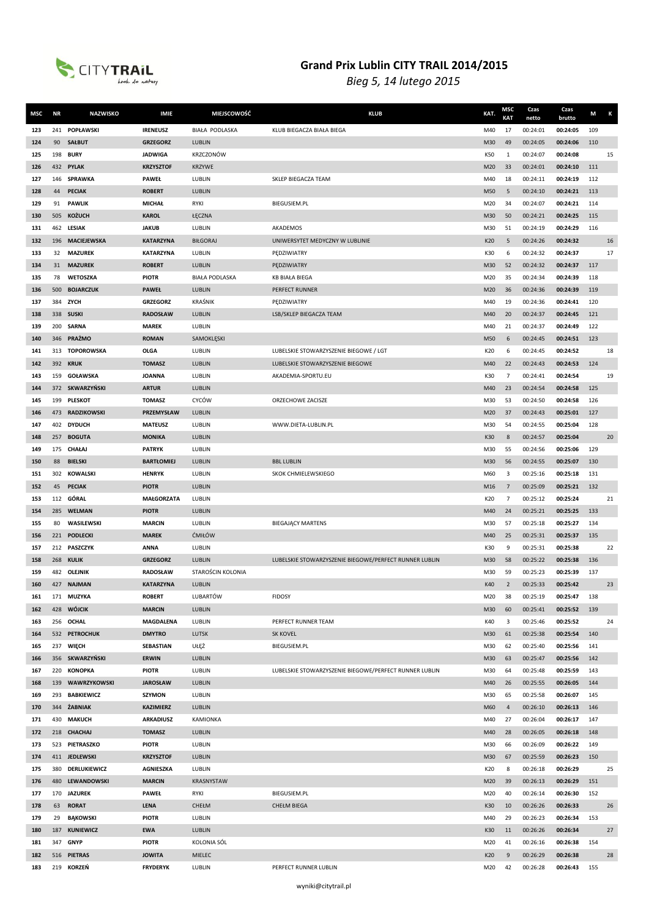

| MSC        | <b>NR</b> | <b>NAZWISKO</b>             | <b>IMIE</b>                       | MIEJSCOWOŚĆ           | <b>KLUB</b>                                            | KAT.       | MSC<br><b>KAT</b> | Czas<br>netto        | Czas<br>brutto       | M          | Κ  |
|------------|-----------|-----------------------------|-----------------------------------|-----------------------|--------------------------------------------------------|------------|-------------------|----------------------|----------------------|------------|----|
| 123        | 241       | <b>POPŁAWSKI</b>            | <b>IRENEUSZ</b>                   | <b>BIAŁA PODLASKA</b> | KLUB BIEGACZA BIAŁA BIEGA                              | M40        | 17                | 00:24:01             | 00:24:05             | 109        |    |
| 124        | 90        | <b>SAŁBUT</b>               | <b>GRZEGORZ</b>                   | LUBLIN                |                                                        | M30        | 49                | 00:24:05             | 00:24:06             | 110        |    |
| 125        |           | 198 <b>BURY</b>             | <b>JADWIGA</b>                    | KRZCZONÓW             |                                                        | K50        | $\mathbf{1}$      | 00:24:07             | 00:24:08             |            | 15 |
| 126        |           | 432 PYLAK                   | <b>KRZYSZTOF</b>                  | <b>KRZYWE</b>         |                                                        | M20        | 33                | 00:24:01             | 00:24:10             | 111        |    |
| 127        |           | 146 SPRAWKA                 | <b>PAWEŁ</b>                      | LUBLIN                | SKLEP BIEGACZA TEAM                                    | M40        | 18                | 00:24:11             | 00:24:19             | 112        |    |
| 128        | 44        | <b>PECIAK</b>               | <b>ROBERT</b>                     | LUBLIN                |                                                        | M50        | 5                 | 00:24:10             | 00:24:21             | 113        |    |
| 129        | 91        | <b>PAWLIK</b>               | <b>MICHAŁ</b>                     | RYKI                  | <b>BIEGUSIEM.PL</b>                                    | M20        | 34                | 00:24:07             | 00:24:21             | 114        |    |
| 130        | 505       | <b>KOŻUCH</b>               | <b>KAROL</b>                      | ŁĘCZNA                |                                                        | M30        | 50                | 00:24:21             | 00:24:25             | 115        |    |
| 131        |           | 462 LESIAK                  | <b>JAKUB</b>                      | LUBLIN                | <b>AKADEMOS</b>                                        | M30        | 51                | 00:24:19             | 00:24:29             | 116        |    |
| 132        |           | 196 MACIEJEWSKA             | <b>KATARZYNA</b>                  | <b>BIŁGORAJ</b>       | UNIWERSYTET MEDYCZNY W LUBLINIE                        | K20        | 5                 | 00:24:26             | 00:24:32             |            | 16 |
| 133        | 32        | <b>MAZUREK</b>              | <b>KATARZYNA</b>                  | LUBLIN                | PEDZIWIATRY                                            | K30        | 6                 | 00:24:32             | 00:24:37             |            | 17 |
| 134        | 31        | <b>MAZUREK</b>              | <b>ROBERT</b>                     | LUBLIN                | PĘDZIWIATRY                                            | M30        | 52                | 00:24:32             | 00:24:37             | 117        |    |
| 135        | 78        | <b>WETOSZKA</b>             | <b>PIOTR</b>                      | <b>BIAŁA PODLASKA</b> | <b>KB BIAŁA BIEGA</b>                                  | M20        | 35                | 00:24:34             | 00:24:39             | 118        |    |
| 136        | 500       | <b>BOJARCZUK</b>            | <b>PAWEŁ</b>                      | LUBLIN                | PERFECT RUNNER                                         | M20        | 36                | 00:24:36             | 00:24:39             | 119        |    |
| 137        | 384       | ZYCH                        | <b>GRZEGORZ</b>                   | <b>KRAŚNIK</b>        | PEDZIWIATRY                                            | M40        | 19                | 00:24:36             | 00:24:41             | 120        |    |
| 138        |           | 338 SUSKI                   | <b>RADOSŁAW</b>                   | LUBLIN                | LSB/SKLEP BIEGACZA TEAM                                | M40        | 20                | 00:24:37             | 00:24:45             | 121        |    |
| 139        |           | 200 SARNA                   | <b>MAREK</b>                      | LUBLIN                |                                                        | M40        | 21                | 00:24:37             | 00:24:49             | 122        |    |
| 140        | 346       | PRAŻMO                      | <b>ROMAN</b>                      | SAMOKLESKI            |                                                        | M50        | 6                 | 00:24:45             | 00:24:51             | 123        |    |
| 141        | 313       | <b>TOPOROWSKA</b>           | <b>OLGA</b>                       | LUBLIN                | LUBELSKIE STOWARZYSZENIE BIEGOWE / LGT                 | K20        | 6                 | 00:24:45             | 00:24:52             |            | 18 |
| 142        |           | 392 KRUK                    | <b>TOMASZ</b>                     | LUBLIN                | LUBELSKIE STOWARZYSZENIE BIEGOWE                       | M40        | 22                | 00:24:43             | 00:24:53             | 124        |    |
| 143        |           | 159 GOŁAWSKA                | <b>JOANNA</b>                     | LUBLIN                | AKADEMIA-SPORTU.EU                                     | K30        | 7                 | 00:24:41             | 00:24:54             |            | 19 |
| 144        |           | 372 SKWARZYŃSKI             | <b>ARTUR</b>                      | LUBLIN                |                                                        | M40        | 23                | 00:24:54             | 00:24:58             | 125        |    |
| 145        | 199       | <b>PLESKOT</b>              | <b>TOMASZ</b>                     | CYCÓW                 | ORZECHOWE ZACISZE                                      | M30        | 53                | 00:24:50             | 00:24:58             | 126        |    |
| 146        |           | 473 RADZIKOWSKI             | PRZEMYSŁAW                        | LUBLIN                |                                                        | M20        | 37                | 00:24:43             | 00:25:01             | 127        |    |
| 147        | 257       | 402 DYDUCH<br><b>BOGUTA</b> | <b>MATEUSZ</b><br><b>MONIKA</b>   | LUBLIN<br>LUBLIN      | WWW.DIETA-LUBLIN.PL                                    | M30<br>K30 | 54<br>8           | 00:24:55<br>00:24:57 | 00:25:04<br>00:25:04 | 128        | 20 |
| 148<br>149 | 175       | <b>CHAŁAJ</b>               | <b>PATRYK</b>                     | LUBLIN                |                                                        | M30        | 55                | 00:24:56             | 00:25:06             | 129        |    |
| 150        | 88        | <b>BIELSKI</b>              | <b>BARTŁOMIEJ</b>                 | LUBLIN                | <b>BBL LUBLIN</b>                                      | M30        | 56                | 00:24:55             | 00:25:07             | 130        |    |
| 151        |           | 302 KOWALSKI                | <b>HENRYK</b>                     | LUBLIN                | SKOK CHMIELEWSKIEGO                                    | M60        | 3                 | 00:25:16             | 00:25:18             | 131        |    |
| 152        | 45        | <b>PECIAK</b>               | <b>PIOTR</b>                      | LUBLIN                |                                                        | M16        | $7\phantom{.0}$   | 00:25:09             | 00:25:21             | 132        |    |
| 153        |           | 112 GÓRAL                   | <b>MAŁGORZATA</b>                 | LUBLIN                |                                                        | K20        | 7                 | 00:25:12             | 00:25:24             |            | 21 |
| 154        |           | 285 WELMAN                  | <b>PIOTR</b>                      | LUBLIN                |                                                        | M40        | 24                | 00:25:21             | 00:25:25             | 133        |    |
| 155        | 80        | WASILEWSKI                  | <b>MARCIN</b>                     | LUBLIN                | <b>BIEGAJĄCY MARTENS</b>                               | M30        | 57                | 00:25:18             | 00:25:27             | 134        |    |
| 156        | 221       | <b>PODLECKI</b>             | <b>MAREK</b>                      | ĆMIŁÓW                |                                                        | M40        | 25                | 00:25:31             | 00:25:37             | 135        |    |
| 157        |           | 212 PASZCZYK                | <b>ANNA</b>                       | LUBLIN                |                                                        | K30        | 9                 | 00:25:31             | 00:25:38             |            | 22 |
| 158        | 268       | <b>KULIK</b>                | <b>GRZEGORZ</b>                   | LUBLIN                | LUBELSKIE STOWARZYSZENIE BIEGOWE/PERFECT RUNNER LUBLIN | M30        | 58                | 00:25:22             | 00:25:38             | 136        |    |
| 159        |           | 482 OLEJNIK                 | <b>RADOSŁAW</b>                   | STAROŚCIN KOLONIA     |                                                        | M30        | 59                | 00:25:23             | 00:25:39             | 137        |    |
| 160        |           | 427 NAJMAN                  | <b>KATARZYNA</b>                  | LUBLIN                |                                                        | K40        | $\overline{2}$    | 00:25:33             | 00:25:42             |            | 23 |
| 161        |           | 171 MUZYKA                  | <b>ROBERT</b>                     | LUBARTÓW              | <b>FIDOSY</b>                                          | M20        | 38                | 00:25:19             | 00:25:47             | 138        |    |
| 162        |           | 428 WÓJCIK                  | <b>MARCIN</b>                     | LUBLIN                |                                                        | M30        | 60                | 00:25:41             | 00:25:52             | 139        |    |
| 163        |           | 256 OCHAL                   | <b>MAGDALENA</b>                  | LUBLIN                | PERFECT RUNNER TEAM                                    | K40        | 3                 | 00:25:46             | 00:25:52             |            | 24 |
| 164        |           | 532 PETROCHUK               | <b>DMYTRO</b>                     | LUTSK                 | SK KOVEL                                               | M30        | 61                | 00:25:38             | 00:25:54             | 140        |    |
| 165        |           | 237 WIĘCH                   | SEBASTIAN                         | UŁĘŻ                  | <b>BIEGUSIEM.PL</b>                                    | M30        | 62                | 00:25:40             | 00:25:56             | 141        |    |
| 166        |           | 356 SKWARZYŃSKI             | <b>ERWIN</b>                      | LUBLIN                |                                                        | M30        | 63                | 00:25:47             | 00:25:56             | 142        |    |
| 167        | 220       | KONOPKA                     | <b>PIOTR</b>                      | LUBLIN                | LUBELSKIE STOWARZYSZENIE BIEGOWE/PERFECT RUNNER LUBLIN | M30        | 64                | 00:25:48             | 00:25:59             | 143        |    |
| 168        |           | 139 WAWRZYKOWSKI            | <b>JAROSŁAW</b>                   | LUBLIN                |                                                        | M40        | 26                | 00:25:55             | 00:26:05             | 144        |    |
| 169        |           | 293 BABKIEWICZ              | <b>SZYMON</b>                     | LUBLIN                |                                                        | M30        | 65                | 00:25:58             | 00:26:07             | 145        |    |
| 170        |           | 344 ŻABNIAK                 | KAZIMIERZ                         | LUBLIN                |                                                        | M60        | $\overline{4}$    | 00:26:10             | 00:26:13             | 146        |    |
| 171<br>172 |           | 430 MAKUCH<br>218 CHACHAJ   | <b>ARKADIUSZ</b><br><b>TOMASZ</b> | KAMIONKA<br>LUBLIN    |                                                        | M40<br>M40 | 27<br>28          | 00:26:04<br>00:26:05 | 00:26:17<br>00:26:18 | 147<br>148 |    |
| 173        |           | 523 PIETRASZKO              | <b>PIOTR</b>                      | LUBLIN                |                                                        | M30        | 66                | 00:26:09             | 00:26:22             | 149        |    |
| 174        |           | 411 JEDLEWSKI               | <b>KRZYSZTOF</b>                  | LUBLIN                |                                                        | M30        | 67                | 00:25:59             | 00:26:23             | 150        |    |
| 175        |           | 380 DERLUKIEWICZ            | AGNIESZKA                         | LUBLIN                |                                                        | K20        | 8                 | 00:26:18             | 00:26:29             |            | 25 |
| 176        |           | 480 LEWANDOWSKI             | <b>MARCIN</b>                     | KRASNYSTAW            |                                                        | M20        | 39                | 00:26:13             | 00:26:29             | 151        |    |
| 177        |           | 170 JAZUREK                 | <b>PAWEŁ</b>                      | RYKI                  | BIEGUSIEM.PL                                           | M20        | 40                | 00:26:14             | 00:26:30             | 152        |    |
| 178        | 63        | <b>RORAT</b>                | LENA                              | CHEŁM                 | <b>CHEŁM BIEGA</b>                                     | K30        | 10                | 00:26:26             | 00:26:33             |            | 26 |
| 179        | 29        | <b>BAKOWSKI</b>             | <b>PIOTR</b>                      | LUBLIN                |                                                        | M40        | 29                | 00:26:23             | 00:26:34             | 153        |    |
| 180        |           | 187 KUNIEWICZ               | <b>EWA</b>                        | LUBLIN                |                                                        | K30        | 11                | 00:26:26             | 00:26:34             |            | 27 |
| 181        |           | 347 GNYP                    | <b>PIOTR</b>                      | KOLONIA SÓL           |                                                        | M20        | 41                | 00:26:16             | 00:26:38             | 154        |    |
| 182        | 516       | <b>PIETRAS</b>              | <b>JOWITA</b>                     | <b>MIELEC</b>         |                                                        | K20        | 9                 | 00:26:29             | 00:26:38             |            | 28 |
| 183        |           | 219 KORZEŃ                  | <b>FRYDERYK</b>                   | LUBLIN                | PERFECT RUNNER LUBLIN                                  | M20        | 42                | 00:26:28             | 00:26:43             | 155        |    |